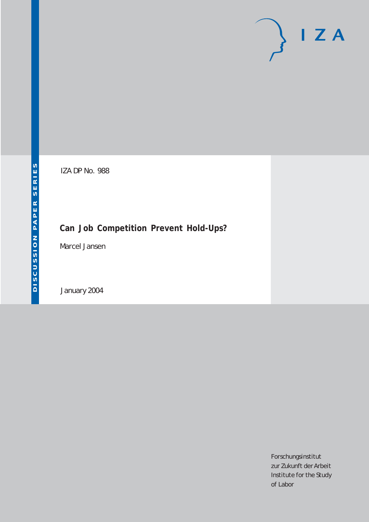# $I Z A$

IZA DP No. 988

## **Can Job Competition Prevent Hold-Ups?**

Marcel Jansen

January 2004

Forschungsinstitut zur Zukunft der Arbeit Institute for the Study of Labor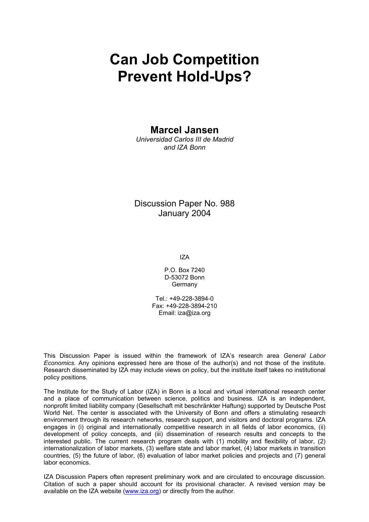# **Can Job Competition Prevent Hold-Ups?**

## **Marcel Jansen**

*Universidad Carlos III de Madrid and IZA Bonn* 

Discussion Paper No. 988 January 2004

IZA

P.O. Box 7240 D-53072 Bonn **Germany** 

Tel.: +49-228-3894-0 Fax: +49-228-3894-210 Email: [iza@iza.org](mailto:iza@iza.org)

This Discussion Paper is issued within the framework of IZA's research area *General Labor Economics.* Any opinions expressed here are those of the author(s) and not those of the institute. Research disseminated by IZA may include views on policy, but the institute itself takes no institutional policy positions.

The Institute for the Study of Labor (IZA) in Bonn is a local and virtual international research center and a place of communication between science, politics and business. IZA is an independent, nonprofit limited liability company (Gesellschaft mit beschränkter Haftung) supported by Deutsche Post World Net. The center is associated with the University of Bonn and offers a stimulating research environment through its research networks, research support, and visitors and doctoral programs. IZA engages in (i) original and internationally competitive research in all fields of labor economics, (ii) development of policy concepts, and (iii) dissemination of research results and concepts to the interested public. The current research program deals with (1) mobility and flexibility of labor, (2) internationalization of labor markets, (3) welfare state and labor market, (4) labor markets in transition countries, (5) the future of labor, (6) evaluation of labor market policies and projects and (7) general labor economics.

IZA Discussion Papers often represent preliminary work and are circulated to encourage discussion. Citation of such a paper should account for its provisional character. A revised version may be available on the IZA website ([www.iza.org](http://www.iza.org/)) or directly from the author.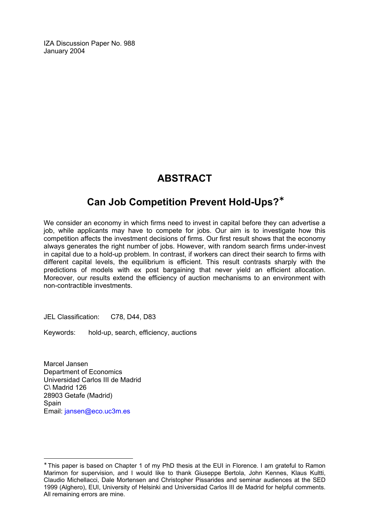IZA Discussion Paper No. 988 January 2004

## **ABSTRACT**

## **Can Job Competition Prevent Hold-Ups?**[∗](#page-2-0)

We consider an economy in which firms need to invest in capital before they can advertise a job, while applicants may have to compete for jobs. Our aim is to investigate how this competition affects the investment decisions of firms. Our first result shows that the economy always generates the right number of jobs. However, with random search firms under-invest in capital due to a hold-up problem. In contrast, if workers can direct their search to firms with different capital levels, the equilibrium is efficient. This result contrasts sharply with the predictions of models with ex post bargaining that never yield an efficient allocation. Moreover, our results extend the efficiency of auction mechanisms to an environment with non-contractible investments.

JEL Classification: C78, D44, D83

Keywords: hold-up, search, efficiency, auctions

Marcel Jansen Department of Economics Universidad Carlos III de Madrid C\ Madrid 126 28903 Getafe (Madrid) Spain Email: [jansen@eco.uc3m.es](mailto:jansen@eco.uc3m.es)

 $\overline{a}$ 

<span id="page-2-0"></span><sup>∗</sup> This paper is based on Chapter 1 of my PhD thesis at the EUI in Florence. I am grateful to Ramon Marimon for supervision, and I would like to thank Giuseppe Bertola, John Kennes, Klaus Kultti, Claudio Michellacci, Dale Mortensen and Christopher Pissarides and seminar audiences at the SED 1999 (Alghero), EUI, University of Helsinki and Universidad Carlos III de Madrid for helpful comments. All remaining errors are mine.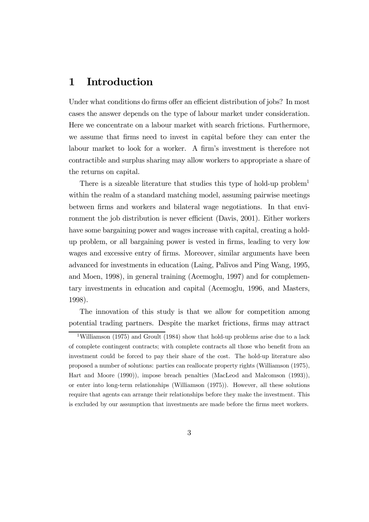## 1 Introduction

Under what conditions do firms offer an efficient distribution of jobs? In most cases the answer depends on the type of labour market under consideration. Here we concentrate on a labour market with search frictions. Furthermore, we assume that firms need to invest in capital before they can enter the labour market to look for a worker. A firm's investment is therefore not contractible and surplus sharing may allow workers to appropriate a share of the returns on capital.

There is a sizeable literature that studies this type of hold-up problem<sup>1</sup> within the realm of a standard matching model, assuming pairwise meetings between firms and workers and bilateral wage negotiations. In that environment the job distribution is never efficient (Davis, 2001). Either workers have some bargaining power and wages increase with capital, creating a holdup problem, or all bargaining power is vested in firms, leading to very low wages and excessive entry of firms. Moreover, similar arguments have been advanced for investments in education (Laing, Palivos and Ping Wang, 1995, and Moen, 1998), in general training (Acemoglu, 1997) and for complementary investments in education and capital (Acemoglu, 1996, and Masters, 1998).

The innovation of this study is that we allow for competition among potential trading partners. Despite the market frictions, firms may attract

<sup>&</sup>lt;sup>1</sup>Williamson (1975) and Groult (1984) show that hold-up problems arise due to a lack of complete contingent contracts; with complete contracts all those who benefit from an investment could be forced to pay their share of the cost. The hold-up literature also proposed a number of solutions: parties can reallocate property rights (Williamson (1975), Hart and Moore (1990)), impose breach penalties (MacLeod and Malcomson (1993)), or enter into long-term relationships (Williamson (1975)). However, all these solutions require that agents can arrange their relationships before they make the investment. This is excluded by our assumption that investments are made before the firms meet workers.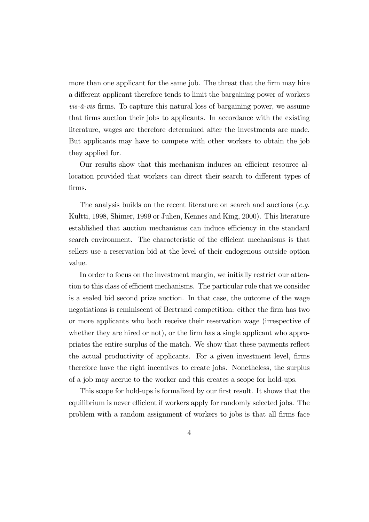more than one applicant for the same job. The threat that the firm may hire a different applicant therefore tends to limit the bargaining power of workers vis-á-vis firms. To capture this natural loss of bargaining power, we assume that firms auction their jobs to applicants. In accordance with the existing literature, wages are therefore determined after the investments are made. But applicants may have to compete with other workers to obtain the job they applied for.

Our results show that this mechanism induces an efficient resource allocation provided that workers can direct their search to different types of firms.

The analysis builds on the recent literature on search and auctions (*e.g.*) Kultti, 1998, Shimer, 1999 or Julien, Kennes and King, 2000). This literature established that auction mechanisms can induce efficiency in the standard search environment. The characteristic of the efficient mechanisms is that sellers use a reservation bid at the level of their endogenous outside option value.

In order to focus on the investment margin, we initially restrict our attention to this class of efficient mechanisms. The particular rule that we consider is a sealed bid second prize auction. In that case, the outcome of the wage negotiations is reminiscent of Bertrand competition: either the firm has two or more applicants who both receive their reservation wage (irrespective of whether they are hired or not), or the firm has a single applicant who appropriates the entire surplus of the match. We show that these payments reflect the actual productivity of applicants. For a given investment level, firms therefore have the right incentives to create jobs. Nonetheless, the surplus of a job may accrue to the worker and this creates a scope for hold-ups.

This scope for hold-ups is formalized by our first result. It shows that the equilibrium is never efficient if workers apply for randomly selected jobs. The problem with a random assignment of workers to jobs is that all firms face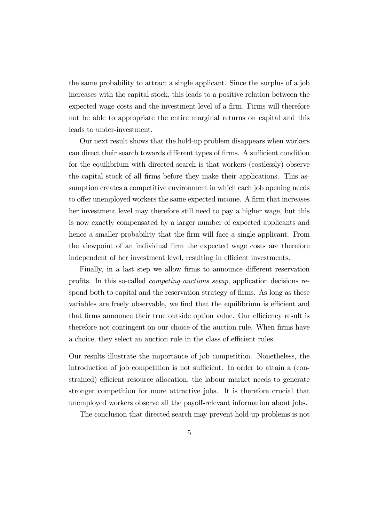the same probability to attract a single applicant. Since the surplus of a job increases with the capital stock, this leads to a positive relation between the expected wage costs and the investment level of a firm. Firms will therefore not be able to appropriate the entire marginal returns on capital and this leads to under-investment.

Our next result shows that the hold-up problem disappears when workers can direct their search towards different types of firms. A sufficient condition for the equilibrium with directed search is that workers (costlessly) observe the capital stock of all firms before they make their applications. This assumption creates a competitive environment in which each job opening needs to offer unemployed workers the same expected income. A firm that increases her investment level may therefore still need to pay a higher wage, but this is now exactly compensated by a larger number of expected applicants and hence a smaller probability that the firm will face a single applicant. From the viewpoint of an individual firm the expected wage costs are therefore independent of her investment level, resulting in efficient investments.

Finally, in a last step we allow firms to announce different reservation profits. In this so-called competing auctions setup, application decisions respond both to capital and the reservation strategy of firms. As long as these variables are freely observable, we find that the equilibrium is efficient and that firms announce their true outside option value. Our efficiency result is therefore not contingent on our choice of the auction rule. When firms have a choice, they select an auction rule in the class of efficient rules.

Our results illustrate the importance of job competition. Nonetheless, the introduction of job competition is not sufficient. In order to attain a (constrained) efficient resource allocation, the labour market needs to generate stronger competition for more attractive jobs. It is therefore crucial that unemployed workers observe all the payoff-relevant information about jobs.

The conclusion that directed search may prevent hold-up problems is not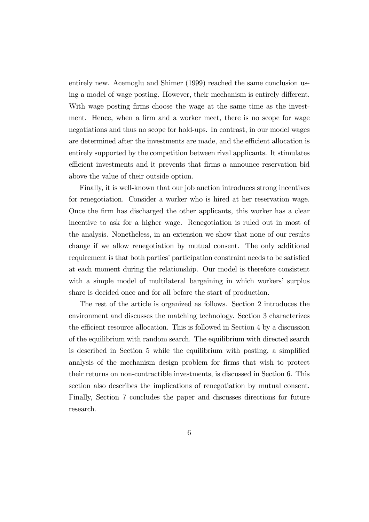entirely new. Acemoglu and Shimer (1999) reached the same conclusion using a model of wage posting. However, their mechanism is entirely different. With wage posting firms choose the wage at the same time as the investment. Hence, when a firm and a worker meet, there is no scope for wage negotiations and thus no scope for hold-ups. In contrast, in our model wages are determined after the investments are made, and the efficient allocation is entirely supported by the competition between rival applicants. It stimulates efficient investments and it prevents that firms a announce reservation bid above the value of their outside option.

Finally, it is well-known that our job auction introduces strong incentives for renegotiation. Consider a worker who is hired at her reservation wage. Once the firm has discharged the other applicants, this worker has a clear incentive to ask for a higher wage. Renegotiation is ruled out in most of the analysis. Nonetheless, in an extension we show that none of our results change if we allow renegotiation by mutual consent. The only additional requirement is that both parties' participation constraint needs to be satisfied at each moment during the relationship. Our model is therefore consistent with a simple model of multilateral bargaining in which workers' surplus share is decided once and for all before the start of production.

The rest of the article is organized as follows. Section 2 introduces the environment and discusses the matching technology. Section 3 characterizes the efficient resource allocation. This is followed in Section 4 by a discussion of the equilibrium with random search. The equilibrium with directed search is described in Section 5 while the equilibrium with posting, a simplified analysis of the mechanism design problem for firms that wish to protect their returns on non-contractible investments, is discussed in Section 6. This section also describes the implications of renegotiation by mutual consent. Finally, Section 7 concludes the paper and discusses directions for future research.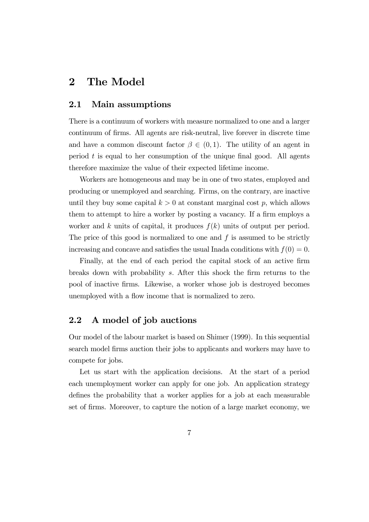## 2 The Model

## 2.1 Main assumptions

There is a continuum of workers with measure normalized to one and a larger continuum of firms. All agents are risk-neutral, live forever in discrete time and have a common discount factor  $\beta \in (0,1)$ . The utility of an agent in period  $t$  is equal to her consumption of the unique final good. All agents therefore maximize the value of their expected lifetime income.

Workers are homogeneous and may be in one of two states, employed and producing or unemployed and searching. Firms, on the contrary, are inactive until they buy some capital  $k > 0$  at constant marginal cost p, which allows them to attempt to hire a worker by posting a vacancy. If a firm employs a worker and k units of capital, it produces  $f(k)$  units of output per period. The price of this good is normalized to one and  $f$  is assumed to be strictly increasing and concave and satisfies the usual Inada conditions with  $f(0) = 0$ .

Finally, at the end of each period the capital stock of an active firm breaks down with probability s. After this shock the firm returns to the pool of inactive firms. Likewise, a worker whose job is destroyed becomes unemployed with a flow income that is normalized to zero.

## 2.2 A model of job auctions

Our model of the labour market is based on Shimer (1999). In this sequential search model firms auction their jobs to applicants and workers may have to compete for jobs.

Let us start with the application decisions. At the start of a period each unemployment worker can apply for one job. An application strategy defines the probability that a worker applies for a job at each measurable set of firms. Moreover, to capture the notion of a large market economy, we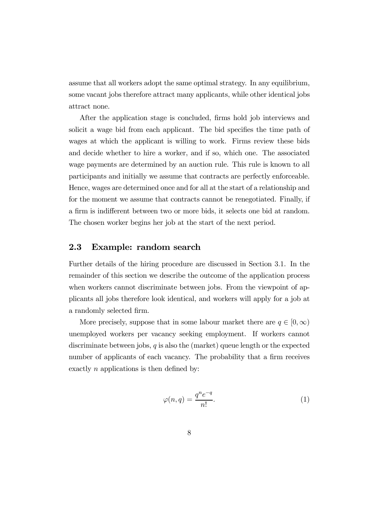assume that all workers adopt the same optimal strategy. In any equilibrium, some vacant jobs therefore attract many applicants, while other identical jobs attract none.

After the application stage is concluded, firms hold job interviews and solicit a wage bid from each applicant. The bid specifies the time path of wages at which the applicant is willing to work. Firms review these bids and decide whether to hire a worker, and if so, which one. The associated wage payments are determined by an auction rule. This rule is known to all participants and initially we assume that contracts are perfectly enforceable. Hence, wages are determined once and for all at the start of a relationship and for the moment we assume that contracts cannot be renegotiated. Finally, if a firm is indifferent between two or more bids, it selects one bid at random. The chosen worker begins her job at the start of the next period.

## 2.3 Example: random search

Further details of the hiring procedure are discussed in Section 3.1. In the remainder of this section we describe the outcome of the application process when workers cannot discriminate between jobs. From the viewpoint of applicants all jobs therefore look identical, and workers will apply for a job at a randomly selected firm.

More precisely, suppose that in some labour market there are  $q \in [0, \infty)$ unemployed workers per vacancy seeking employment. If workers cannot discriminate between jobs,  $q$  is also the (market) queue length or the expected number of applicants of each vacancy. The probability that a firm receives exactly n applications is then defined by:

$$
\varphi(n,q) = \frac{q^n e^{-q}}{n!}.\tag{1}
$$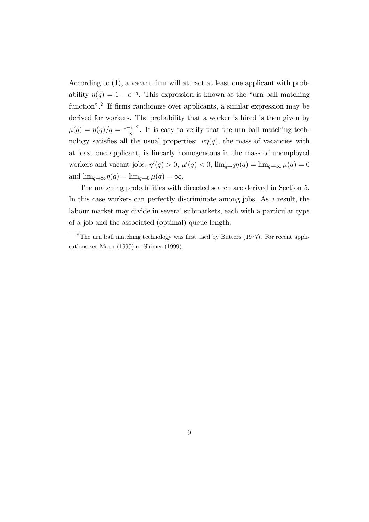According to (1), a vacant firm will attract at least one applicant with probability  $\eta(q)=1-e^{-q}$ . This expression is known as the "urn ball matching" function".<sup>2</sup> If firms randomize over applicants, a similar expression may be derived for workers. The probability that a worker is hired is then given by  $\mu(q) = \eta(q)/q = \frac{1-e^{-q}}{q}$ . It is easy to verify that the urn ball matching technology satisfies all the usual properties:  $v\eta(q)$ , the mass of vacancies with at least one applicant, is linearly homogeneous in the mass of unemployed workers and vacant jobs,  $\eta'(q) > 0$ ,  $\mu'(q) < 0$ ,  $\lim_{q \to 0} \eta(q) = \lim_{q \to \infty} \mu(q) = 0$ and  $\lim_{q \to \infty} \eta(q) = \lim_{q \to 0} \mu(q) = \infty$ .

The matching probabilities with directed search are derived in Section 5. In this case workers can perfectly discriminate among jobs. As a result, the labour market may divide in several submarkets, each with a particular type of a job and the associated (optimal) queue length.

<sup>&</sup>lt;sup>2</sup>The urn ball matching technology was first used by Butters  $(1977)$ . For recent applications see Moen (1999) or Shimer (1999).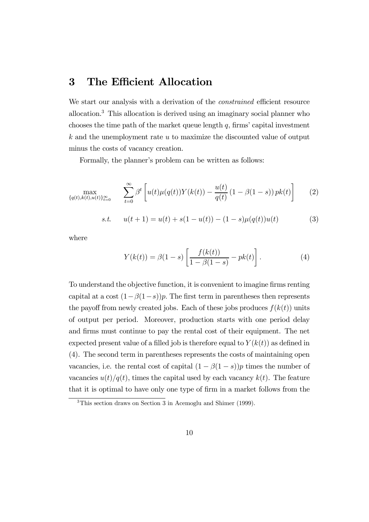## 3 The Efficient Allocation

We start our analysis with a derivation of the *constrained* efficient resource allocation.3 This allocation is derived using an imaginary social planner who chooses the time path of the market queue length  $q$ , firms' capital investment  $k$  and the unemployment rate  $u$  to maximize the discounted value of output minus the costs of vacancy creation.

Formally, the planner's problem can be written as follows:

$$
\max_{\{q(t),k(t),u(t)\}_{t=0}^{\infty}} \sum_{t=0}^{\infty} \beta^t \left[ u(t) \mu(q(t)) Y(k(t)) - \frac{u(t)}{q(t)} (1 - \beta(1 - s)) p k(t) \right] \tag{2}
$$

s.t. 
$$
u(t+1) = u(t) + s(1 - u(t)) - (1 - s)\mu(q(t))u(t)
$$
 (3)

where

$$
Y(k(t)) = \beta(1 - s) \left[ \frac{f(k(t))}{1 - \beta(1 - s)} - pk(t) \right].
$$
 (4)

To understand the objective function, it is convenient to imagine firms renting capital at a cost  $(1-\beta(1-s))p$ . The first term in parentheses then represents the payoff from newly created jobs. Each of these jobs produces  $f(k(t))$  units of output per period. Moreover, production starts with one period delay and firms must continue to pay the rental cost of their equipment. The net expected present value of a filled job is therefore equal to  $Y(k(t))$  as defined in (4). The second term in parentheses represents the costs of maintaining open vacancies, i.e. the rental cost of capital  $(1 - \beta(1 - s))p$  times the number of vacancies  $u(t)/q(t)$ , times the capital used by each vacancy  $k(t)$ . The feature that it is optimal to have only one type of firm in a market follows from the

<sup>3</sup>This section draws on Section 3 in Acemoglu and Shimer (1999).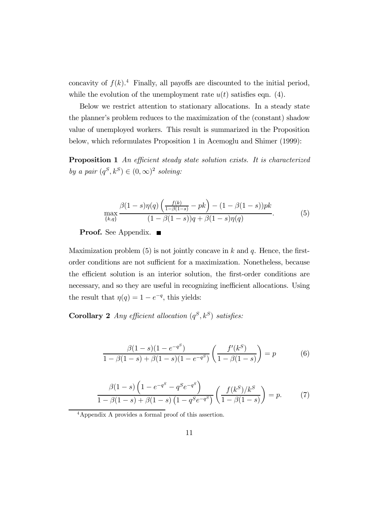concavity of  $f(k)$ .<sup>4</sup> Finally, all payoffs are discounted to the initial period, while the evolution of the unemployment rate  $u(t)$  satisfies eqn. (4).

Below we restrict attention to stationary allocations. In a steady state the planner's problem reduces to the maximization of the (constant) shadow value of unemployed workers. This result is summarized in the Proposition below, which reformulates Proposition 1 in Acemoglu and Shimer (1999):

Proposition 1 An efficient steady state solution exists. It is characterized by a pair  $(q^S, k^S) \in (0, \infty)^2$  solving:

$$
\max_{\{k,q\}} \frac{\beta(1-s)\eta(q)\left(\frac{f(k)}{1-\beta(1-s)} - pk\right) - (1-\beta(1-s))pk}{(1-\beta(1-s))q + \beta(1-s)\eta(q)}.\tag{5}
$$

**Proof.** See Appendix. ■

Maximization problem  $(5)$  is not jointly concave in k and q. Hence, the firstorder conditions are not sufficient for a maximization. Nonetheless, because the efficient solution is an interior solution, the first-order conditions are necessary, and so they are useful in recognizing inefficient allocations. Using the result that  $\eta(q)=1-e^{-q}$ , this yields:

Corollary 2 Any efficient allocation  $(q^S, k^S)$  satisfies:

$$
\frac{\beta(1-s)(1-e^{-q^{S}})}{1-\beta(1-s)+\beta(1-s)(1-e^{-q^{S}})}\left(\frac{f'(k^{S})}{1-\beta(1-s)}\right)=p
$$
(6)

$$
\frac{\beta(1-s)\left(1-e^{-q^S}-q^Se^{-q^S}\right)}{1-\beta(1-s)+\beta(1-s)\left(1-q^Se^{-q^S}\right)}\left(\frac{f(k^S)/k^S}{1-\beta(1-s)}\right)=p.\tag{7}
$$

4Appendix A provides a formal proof of this assertion.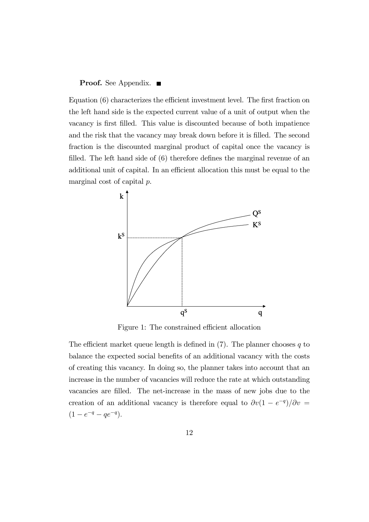#### **Proof.** See Appendix.  $\blacksquare$

Equation (6) characterizes the efficient investment level. The first fraction on the left hand side is the expected current value of a unit of output when the vacancy is first filled. This value is discounted because of both impatience and the risk that the vacancy may break down before it is filled. The second fraction is the discounted marginal product of capital once the vacancy is filled. The left hand side of (6) therefore defines the marginal revenue of an additional unit of capital. In an efficient allocation this must be equal to the marginal cost of capital p.



Figure 1: The constrained efficient allocation

The efficient market queue length is defined in  $(7)$ . The planner chooses q to balance the expected social benefits of an additional vacancy with the costs of creating this vacancy. In doing so, the planner takes into account that an increase in the number of vacancies will reduce the rate at which outstanding vacancies are filled. The net-increase in the mass of new jobs due to the creation of an additional vacancy is therefore equal to  $\partial v(1 - e^{-q})/\partial v =$  $(1 - e^{-q} - qe^{-q}).$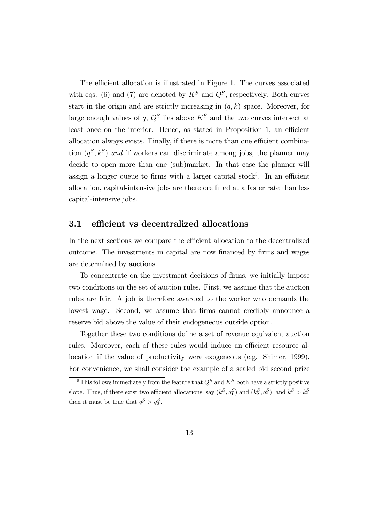The efficient allocation is illustrated in Figure 1. The curves associated with eqs. (6) and (7) are denoted by  $K^S$  and  $Q^S$ , respectively. Both curves start in the origin and are strictly increasing in  $(q, k)$  space. Moreover, for large enough values of q,  $Q^S$  lies above  $K^S$  and the two curves intersect at least once on the interior. Hence, as stated in Proposition 1, an efficient allocation always exists. Finally, if there is more than one efficient combination  $(q^S, k^S)$  and if workers can discriminate among jobs, the planner may decide to open more than one (sub)market. In that case the planner will assign a longer queue to firms with a larger capital stock<sup>5</sup>. In an efficient allocation, capital-intensive jobs are therefore filled at a faster rate than less capital-intensive jobs.

## 3.1 efficient vs decentralized allocations

In the next sections we compare the efficient allocation to the decentralized outcome. The investments in capital are now financed by firms and wages are determined by auctions.

To concentrate on the investment decisions of firms, we initially impose two conditions on the set of auction rules. First, we assume that the auction rules are fair. A job is therefore awarded to the worker who demands the lowest wage. Second, we assume that firms cannot credibly announce a reserve bid above the value of their endogeneous outside option.

Together these two conditions define a set of revenue equivalent auction rules. Moreover, each of these rules would induce an efficient resource allocation if the value of productivity were exogeneous (e.g. Shimer, 1999). For convenience, we shall consider the example of a sealed bid second prize

<sup>&</sup>lt;sup>5</sup>This follows immediately from the feature that  $Q^S$  and  $K^S$  both have a strictly positive slope. Thus, if there exist two efficient allocations, say  $(k_1^S, q_1^S)$  and  $(k_2^S, q_2^S)$ , and  $k_1^S > k_2^S$ then it must be true that  $q_1^S > q_2^S$ .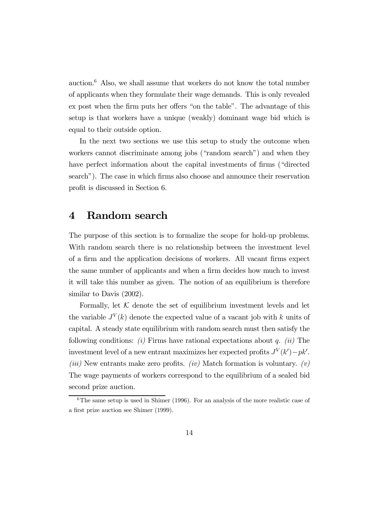auction. $6$  Also, we shall assume that workers do not know the total number of applicants when they formulate their wage demands. This is only revealed ex post when the firm puts her offers "on the table". The advantage of this setup is that workers have a unique (weakly) dominant wage bid which is equal to their outside option.

In the next two sections we use this setup to study the outcome when workers cannot discriminate among jobs ("random search") and when they have perfect information about the capital investments of firms ("directed search"). The case in which firms also choose and announce their reservation profit is discussed in Section 6.

## 4 Random search

The purpose of this section is to formalize the scope for hold-up problems. With random search there is no relationship between the investment level of a firm and the application decisions of workers. All vacant firms expect the same number of applicants and when a firm decides how much to invest it will take this number as given. The notion of an equilibrium is therefore similar to Davis (2002).

Formally, let  $K$  denote the set of equilibrium investment levels and let the variable  $J^V(k)$  denote the expected value of a vacant job with k units of capital. A steady state equilibrium with random search must then satisfy the following conditions: (i) Firms have rational expectations about q. (ii) The investment level of a new entrant maximizes her expected profits  $J^V(k') - pk'$ . (*iii*) New entrants make zero profits. (*iv*) Match formation is voluntary. (*v*) The wage payments of workers correspond to the equilibrium of a sealed bid second prize auction.

 $6$ The same setup is used in Shimer (1996). For an analysis of the more realistic case of a first prize auction see Shimer (1999).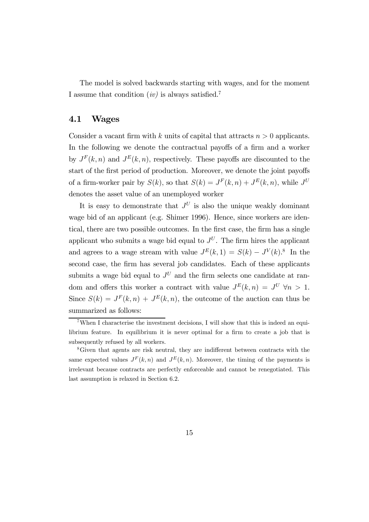The model is solved backwards starting with wages, and for the moment I assume that condition  $(iv)$  is always satisfied.<sup>7</sup>

## 4.1 Wages

Consider a vacant firm with k units of capital that attracts  $n > 0$  applicants. In the following we denote the contractual payoffs of a firm and a worker by  $J^F(k, n)$  and  $J^E(k, n)$ , respectively. These payoffs are discounted to the start of the first period of production. Moreover, we denote the joint payoffs of a firm-worker pair by  $S(k)$ , so that  $S(k) = J<sup>F</sup>(k, n) + J<sup>E</sup>(k, n)$ , while  $J<sup>U</sup>$ denotes the asset value of an unemployed worker

It is easy to demonstrate that  $J^U$  is also the unique weakly dominant wage bid of an applicant (e.g. Shimer 1996). Hence, since workers are identical, there are two possible outcomes. In the first case, the firm has a single applicant who submits a wage bid equal to  $J^U$ . The firm hires the applicant and agrees to a wage stream with value  $J^{E}(k, 1) = S(k) - J^{V}(k)$ .<sup>8</sup> In the second case, the firm has several job candidates. Each of these applicants submits a wage bid equal to  $J^U$  and the firm selects one candidate at random and offers this worker a contract with value  $J^{E}(k, n) = J^{U}$   $\forall n > 1$ . Since  $S(k) = J<sup>F</sup>(k, n) + J<sup>E</sup>(k, n)$ , the outcome of the auction can thus be summarized as follows:

<sup>7</sup>When I characterise the investment decisions, I will show that this is indeed an equilibrium feature. In equilibrium it is never optimal for a firm to create a job that is subsequently refused by all workers.

<sup>8</sup>Given that agents are risk neutral, they are indifferent between contracts with the same expected values  $J^F(k, n)$  and  $J^E(k, n)$ . Moreover, the timing of the payments is irrelevant because contracts are perfectly enforceable and cannot be renegotiated. This last assumption is relaxed in Section 6.2.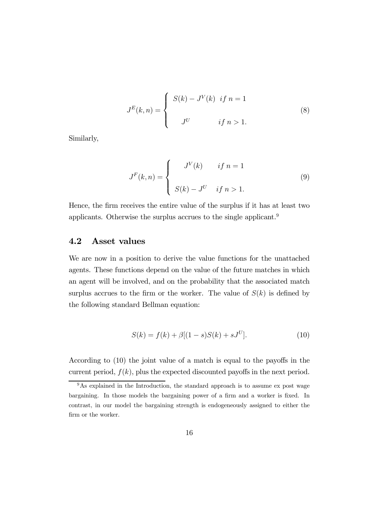$$
J^{E}(k,n) = \begin{cases} S(k) - J^{V}(k) & \text{if } n = 1 \\ J^{U} & \text{if } n > 1. \end{cases}
$$
 (8)

Similarly,

$$
J^{F}(k,n) = \begin{cases} J^{V}(k) & \text{if } n = 1 \\ S(k) - J^{U} & \text{if } n > 1. \end{cases}
$$
 (9)

Hence, the firm receives the entire value of the surplus if it has at least two applicants. Otherwise the surplus accrues to the single applicant.9

## 4.2 Asset values

We are now in a position to derive the value functions for the unattached agents. These functions depend on the value of the future matches in which an agent will be involved, and on the probability that the associated match surplus accrues to the firm or the worker. The value of  $S(k)$  is defined by the following standard Bellman equation:

$$
S(k) = f(k) + \beta[(1 - s)S(k) + sJ^{U}].
$$
\n(10)

According to (10) the joint value of a match is equal to the payoffs in the current period,  $f(k)$ , plus the expected discounted payoffs in the next period.

 $9<sup>9</sup>$ As explained in the Introduction, the standard approach is to assume ex post wage bargaining. In those models the bargaining power of a firm and a worker is fixed. In contrast, in our model the bargaining strength is endogeneously assigned to either the firm or the worker.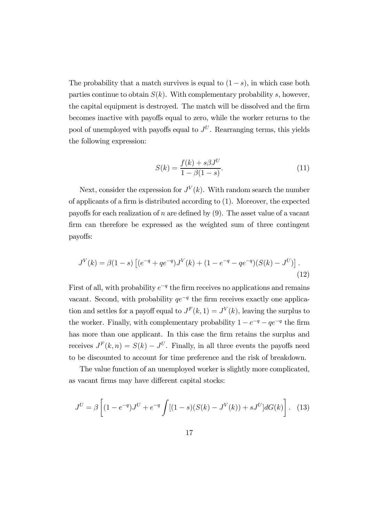The probability that a match survives is equal to  $(1-s)$ , in which case both parties continue to obtain  $S(k)$ . With complementary probability s, however, the capital equipment is destroyed. The match will be dissolved and the firm becomes inactive with payoffs equal to zero, while the worker returns to the pool of unemployed with payoffs equal to  $J^U$ . Rearranging terms, this yields the following expression:

$$
S(k) = \frac{f(k) + s\beta J^{U}}{1 - \beta(1 - s)}.
$$
\n(11)

Next, consider the expression for  $J^V(k)$ . With random search the number of applicants of a firm is distributed according to (1). Moreover, the expected payoffs for each realization of n are defined by  $(9)$ . The asset value of a vacant firm can therefore be expressed as the weighted sum of three contingent payoffs:

$$
J^{V}(k) = \beta(1-s) \left[ (e^{-q} + qe^{-q})J^{V}(k) + (1 - e^{-q} - qe^{-q})(S(k) - J^{U}) \right].
$$
\n(12)

First of all, with probability  $e^{-q}$  the firm receives no applications and remains vacant. Second, with probability  $qe^{-q}$  the firm receives exactly one application and settles for a payoff equal to  $J<sup>F</sup>(k, 1) = J<sup>V</sup>(k)$ , leaving the surplus to the worker. Finally, with complementary probability  $1 - e^{-q} - qe^{-q}$  the firm has more than one applicant. In this case the firm retains the surplus and receives  $J<sup>F</sup>(k, n) = S(k) - J<sup>U</sup>$ . Finally, in all three events the payoffs need to be discounted to account for time preference and the risk of breakdown.

The value function of an unemployed worker is slightly more complicated, as vacant firms may have different capital stocks:

$$
J^{U} = \beta \left[ (1 - e^{-q})J^{U} + e^{-q} \int [(1 - s)(S(k) - J^{V}(k)) + sJ^{U}] dG(k) \right]. \tag{13}
$$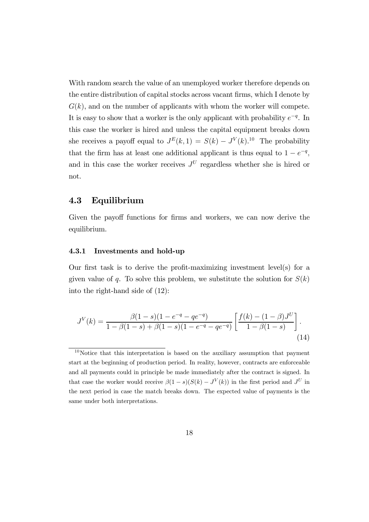With random search the value of an unemployed worker therefore depends on the entire distribution of capital stocks across vacant firms, which I denote by  $G(k)$ , and on the number of applicants with whom the worker will compete. It is easy to show that a worker is the only applicant with probability  $e^{-q}$ . In this case the worker is hired and unless the capital equipment breaks down she receives a payoff equal to  $J^E(k,1) = S(k) - J^V(k).$ <sup>10</sup> The probability that the firm has at least one additional applicant is thus equal to  $1 - e^{-q}$ , and in this case the worker receives  $J^U$  regardless whether she is hired or not.

## 4.3 Equilibrium

Given the payoff functions for firms and workers, we can now derive the equilibrium.

#### 4.3.1 Investments and hold-up

Our first task is to derive the profit-maximizing investment level(s) for a given value of q. To solve this problem, we substitute the solution for  $S(k)$ into the right-hand side of (12):

$$
J^{V}(k) = \frac{\beta(1-s)(1 - e^{-q} - q e^{-q})}{1 - \beta(1-s) + \beta(1-s)(1 - e^{-q} - q e^{-q})} \left[ \frac{f(k) - (1-\beta)J^{U}}{1 - \beta(1-s)} \right].
$$
\n(14)

 $10$ Notice that this interpretation is based on the auxiliary assumption that payment start at the beginning of production period. In reality, however, contracts are enforceable and all payments could in principle be made immediately after the contract is signed. In that case the worker would receive  $\beta(1-s)(S(k) - J^{V}(k))$  in the first period and  $J^{U}$  in the next period in case the match breaks down. The expected value of payments is the same under both interpretations.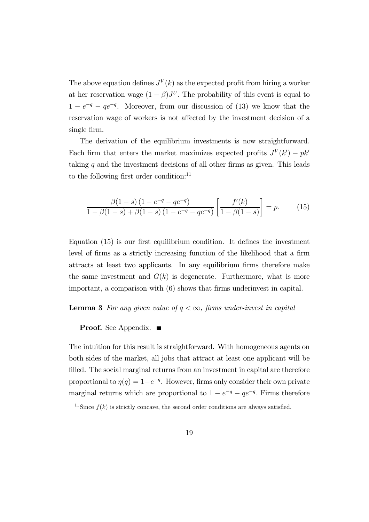The above equation defines  $J^V(k)$  as the expected profit from hiring a worker at her reservation wage  $(1 - \beta)J^{U}$ . The probability of this event is equal to  $1 - e^{-q} - qe^{-q}$ . Moreover, from our discussion of (13) we know that the reservation wage of workers is not affected by the investment decision of a single firm.

The derivation of the equilibrium investments is now straightforward. Each firm that enters the market maximizes expected profits  $J^V(k') - p k'$ taking  $q$  and the investment decisions of all other firms as given. This leads to the following first order condition:<sup>11</sup>

$$
\frac{\beta(1-s)\left(1-e^{-q}-qe^{-q}\right)}{1-\beta(1-s)+\beta(1-s)\left(1-e^{-q}-qe^{-q}\right)}\left[\frac{f'(k)}{1-\beta(1-s)}\right]=p.\tag{15}
$$

Equation (15) is our first equilibrium condition. It defines the investment level of firms as a strictly increasing function of the likelihood that a firm attracts at least two applicants. In any equilibrium firms therefore make the same investment and  $G(k)$  is degenerate. Furthermore, what is more important, a comparison with (6) shows that firms underinvest in capital.

#### **Lemma 3** For any given value of  $q < \infty$ , firms under-invest in capital

**Proof.** See Appendix. ■

The intuition for this result is straightforward. With homogeneous agents on both sides of the market, all jobs that attract at least one applicant will be filled. The social marginal returns from an investment in capital are therefore proportional to  $\eta(q)=1-e^{-q}$ . However, firms only consider their own private marginal returns which are proportional to  $1 - e^{-q} - qe^{-q}$ . Firms therefore

<sup>&</sup>lt;sup>11</sup>Since  $f(k)$  is strictly concave, the second order conditions are always satisfied.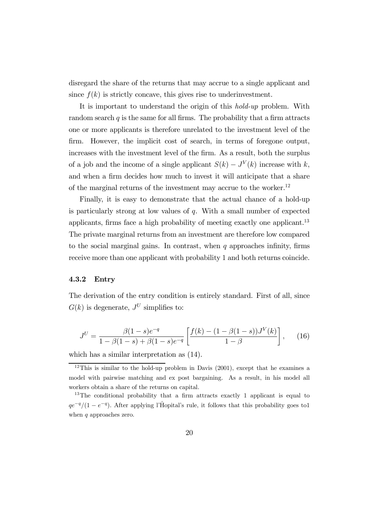disregard the share of the returns that may accrue to a single applicant and since  $f(k)$  is strictly concave, this gives rise to underinvestment.

It is important to understand the origin of this hold-up problem. With random search  $q$  is the same for all firms. The probability that a firm attracts one or more applicants is therefore unrelated to the investment level of the firm. However, the implicit cost of search, in terms of foregone output, increases with the investment level of the firm. As a result, both the surplus of a job and the income of a single applicant  $S(k) - J<sup>V</sup>(k)$  increase with k, and when a firm decides how much to invest it will anticipate that a share of the marginal returns of the investment may accrue to the worker.<sup>12</sup>

Finally, it is easy to demonstrate that the actual chance of a hold-up is particularly strong at low values of  $q$ . With a small number of expected applicants, firms face a high probability of meeting exactly one applicant.<sup>13</sup> The private marginal returns from an investment are therefore low compared to the social marginal gains. In contrast, when  $q$  approaches infinity, firms receive more than one applicant with probability 1 and both returns coincide.

#### 4.3.2 Entry

The derivation of the entry condition is entirely standard. First of all, since  $G(k)$  is degenerate,  $J^U$  simplifies to:

$$
J^{U} = \frac{\beta(1-s)e^{-q}}{1 - \beta(1-s) + \beta(1-s)e^{-q}} \left[ \frac{f(k) - (1 - \beta(1-s))J^{V}(k)}{1 - \beta} \right],
$$
 (16)

which has a similar interpretation as (14).

<sup>&</sup>lt;sup>12</sup>This is similar to the hold-up problem in Davis  $(2001)$ , except that he examines a model with pairwise matching and ex post bargaining. As a result, in his model all workers obtain a share of the returns on capital.

<sup>13</sup>The conditional probability that a firm attracts exactly 1 applicant is equal to  $qe^{-q}/(1 - e^{-q})$ . After applying l'H $\hat{H}$ opital's rule, it follows that this probability goes to 1 when q approaches zero.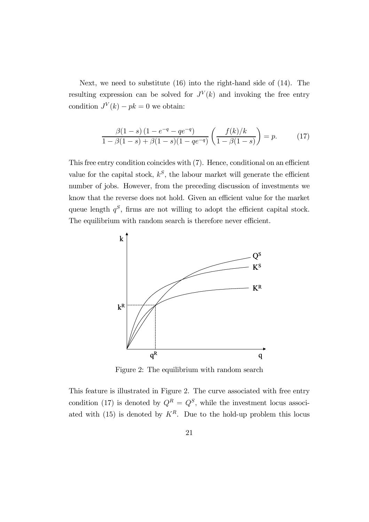Next, we need to substitute (16) into the right-hand side of (14). The resulting expression can be solved for  $J^V(k)$  and invoking the free entry condition  $J^V(k) - pk = 0$  we obtain:

$$
\frac{\beta(1-s)\left(1-e^{-q}-qe^{-q}\right)}{1-\beta(1-s)+\beta(1-s)(1-qe^{-q})}\left(\frac{f(k)/k}{1-\beta(1-s)}\right)=p.
$$
 (17)

This free entry condition coincides with (7). Hence, conditional on an efficient value for the capital stock,  $k^S$ , the labour market will generate the efficient number of jobs. However, from the preceding discussion of investments we know that the reverse does not hold. Given an efficient value for the market queue length  $q^S$ , firms are not willing to adopt the efficient capital stock. The equilibrium with random search is therefore never efficient.



Figure 2: The equilibrium with random search

This feature is illustrated in Figure 2. The curve associated with free entry condition (17) is denoted by  $Q^R = Q^S$ , while the investment locus associated with (15) is denoted by  $K^R$ . Due to the hold-up problem this locus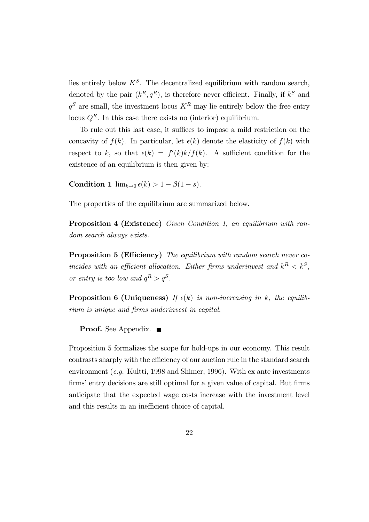lies entirely below  $K^S$ . The decentralized equilibrium with random search, denoted by the pair  $(k^R, q^R)$ , is therefore never efficient. Finally, if  $k^S$  and  $q^S$  are small, the investment locus  $K^R$  may lie entirely below the free entry locus  $Q<sup>R</sup>$ . In this case there exists no (interior) equilibrium.

To rule out this last case, it suffices to impose a mild restriction on the concavity of  $f(k)$ . In particular, let  $\epsilon(k)$  denote the elasticity of  $f(k)$  with respect to k, so that  $\epsilon(k) = f'(k)k/f(k)$ . A sufficient condition for the existence of an equilibrium is then given by:

Condition 1  $\lim_{k\to 0} \epsilon(k) > 1 - \beta(1-s)$ .

The properties of the equilibrium are summarized below.

Proposition 4 (Existence) Given Condition 1, an equilibrium with random search always exists.

Proposition 5 (Efficiency) The equilibrium with random search never coincides with an efficient allocation. Either firms underinvest and  $k^R < k^S$ , or entry is too low and  $q^R > q^S$ .

**Proposition 6 (Uniqueness)** If  $\epsilon(k)$  is non-increasing in k, the equilibrium is unique and firms underinvest in capital.

**Proof.** See Appendix. ■

Proposition 5 formalizes the scope for hold-ups in our economy. This result contrasts sharply with the efficiency of our auction rule in the standard search environment (e.g. Kultti, 1998 and Shimer, 1996). With ex ante investments firms' entry decisions are still optimal for a given value of capital. But firms anticipate that the expected wage costs increase with the investment level and this results in an inefficient choice of capital.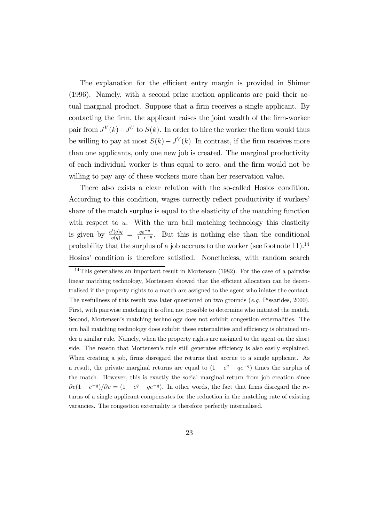The explanation for the efficient entry margin is provided in Shimer (1996). Namely, with a second prize auction applicants are paid their actual marginal product. Suppose that a firm receives a single applicant. By contacting the firm, the applicant raises the joint wealth of the firm-worker pair from  $J^V(k) + J^U$  to  $S(k)$ . In order to hire the worker the firm would thus be willing to pay at most  $S(k) - J<sup>V</sup>(k)$ . In contrast, if the firm receives more than one applicants, only one new job is created. The marginal productivity of each individual worker is thus equal to zero, and the firm would not be willing to pay any of these workers more than her reservation value.

There also exists a clear relation with the so-called Hosios condition. According to this condition, wages correctly reflect productivity if workers' share of the match surplus is equal to the elasticity of the matching function with respect to  $u$ . With the urn ball matching technology this elasticity is given by  $\frac{\eta'(q)q}{\eta(q)} = \frac{qe^{-q}}{1-e^{-q}}$ . But this is nothing else than the conditional probability that the surplus of a job accrues to the worker (see footnote  $11$ ).<sup>14</sup> Hosios' condition is therefore satisfied. Nonetheless, with random search

<sup>&</sup>lt;sup>14</sup>This generalises an important result in Mortensen (1982). For the case of a pairwise linear matching technology, Mortensen showed that the efficient allocation can be decentralised if the property rights to a match are assigned to the agent who iniates the contact. The usefullness of this result was later questioned on two grounds (e.g. Pissarides, 2000). First, with pairwise matching it is often not possible to determine who initiated the match. Second, Mortensen's matching technology does not exhibit congestion externalities. The urn ball matching technology does exhibit these externalities and efficiency is obtained under a similar rule. Namely, when the property rights are assigned to the agent on the short side. The reason that Mortensen's rule still generates efficiency is also easily explained. When creating a job, firms disregard the returns that accrue to a single applicant. As a result, the private marginal returns are equal to  $(1 - e^q - q e^{-q})$  times the surplus of the match. However, this is exactly the social marginal return from job creation since  $\partial v(1 - e^{-q})/\partial v = (1 - e^{q} - qe^{-q})$ . In other words, the fact that firms disregard the returns of a single applicant compensates for the reduction in the matching rate of existing vacancies. The congestion externality is therefore perfectly internalised.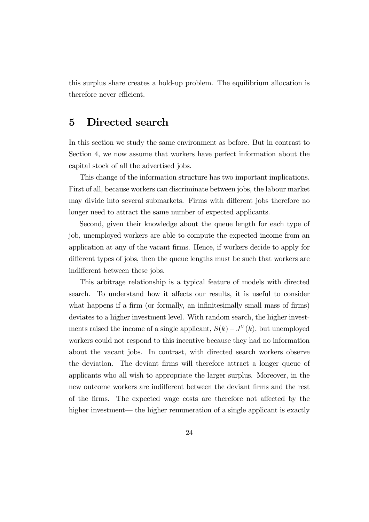this surplus share creates a hold-up problem. The equilibrium allocation is therefore never efficient.

## 5 Directed search

In this section we study the same environment as before. But in contrast to Section 4, we now assume that workers have perfect information about the capital stock of all the advertised jobs.

This change of the information structure has two important implications. First of all, because workers can discriminate between jobs, the labour market may divide into several submarkets. Firms with different jobs therefore no longer need to attract the same number of expected applicants.

Second, given their knowledge about the queue length for each type of job, unemployed workers are able to compute the expected income from an application at any of the vacant firms. Hence, if workers decide to apply for different types of jobs, then the queue lengths must be such that workers are indifferent between these jobs.

This arbitrage relationship is a typical feature of models with directed search. To understand how it affects our results, it is useful to consider what happens if a firm (or formally, an infinitesimally small mass of firms) deviates to a higher investment level. With random search, the higher investments raised the income of a single applicant,  $S(k) - J<sup>V</sup>(k)$ , but unemployed workers could not respond to this incentive because they had no information about the vacant jobs. In contrast, with directed search workers observe the deviation. The deviant firms will therefore attract a longer queue of applicants who all wish to appropriate the larger surplus. Moreover, in the new outcome workers are indifferent between the deviant firms and the rest of the firms. The expected wage costs are therefore not affected by the higher investment— the higher remuneration of a single applicant is exactly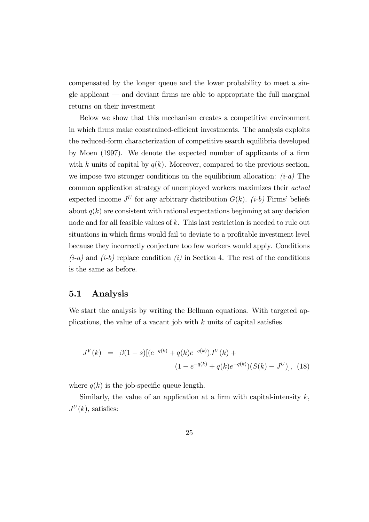compensated by the longer queue and the lower probability to meet a single applicant – and deviant firms are able to appropriate the full marginal returns on their investment

Below we show that this mechanism creates a competitive environment in which firms make constrained-efficient investments. The analysis exploits the reduced-form characterization of competitive search equilibria developed by Moen (1997). We denote the expected number of applicants of a firm with k units of capital by  $q(k)$ . Moreover, compared to the previous section, we impose two stronger conditions on the equilibrium allocation:  $(i-a)$  The common application strategy of unemployed workers maximizes their actual expected income  $J^U$  for any arbitrary distribution  $G(k)$ . (*i-b*) Firms' beliefs about  $q(k)$  are consistent with rational expectations beginning at any decision node and for all feasible values of k. This last restriction is needed to rule out situations in which firms would fail to deviate to a profitable investment level because they incorrectly conjecture too few workers would apply. Conditions  $(i-a)$  and  $(i-b)$  replace condition  $(i)$  in Section 4. The rest of the conditions is the same as before.

#### 5.1 Analysis

We start the analysis by writing the Bellman equations. With targeted applications, the value of a vacant job with  $k$  units of capital satisfies

$$
J^{V}(k) = \beta(1-s)[(e^{-q(k)} + q(k)e^{-q(k)})J^{V}(k) + (1 - e^{-q(k)} + q(k)e^{-q(k)}) (S(k) - J^{U})], \quad (18)
$$

where  $q(k)$  is the job-specific queue length.

Similarly, the value of an application at a firm with capital-intensity  $k$ ,  $J^U(k)$ , satisfies: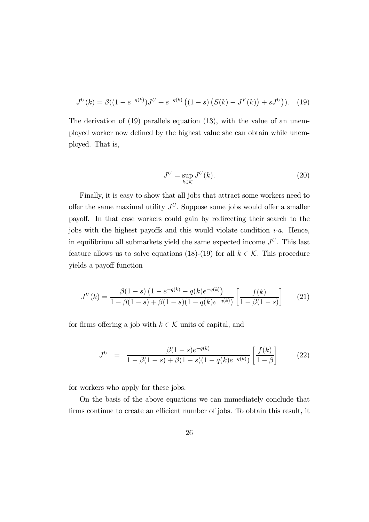$$
J^{U}(k) = \beta((1 - e^{-q(k)})J^{U} + e^{-q(k)}((1 - s) (S(k) - J^{V}(k)) + sJ^{U})). \tag{19}
$$

The derivation of (19) parallels equation (13), with the value of an unemployed worker now defined by the highest value she can obtain while unemployed. That is,

$$
J^U = \sup_{k \in \mathcal{K}} J^U(k). \tag{20}
$$

Finally, it is easy to show that all jobs that attract some workers need to offer the same maximal utility  $J^U$ . Suppose some jobs would offer a smaller payoff. In that case workers could gain by redirecting their search to the jobs with the highest payoffs and this would violate condition  $i-a$ . Hence, in equilibrium all submarkets yield the same expected income  $J^U$ . This last feature allows us to solve equations (18)-(19) for all  $k \in \mathcal{K}$ . This procedure yields a payoff function

$$
J^{V}(k) = \frac{\beta(1-s)\left(1 - e^{-q(k)} - q(k)e^{-q(k)}\right)}{1 - \beta(1-s) + \beta(1-s)(1-q(k)e^{-q(k)})}\left[\frac{f(k)}{1 - \beta(1-s)}\right] \tag{21}
$$

for firms offering a job with  $k \in \mathcal{K}$  units of capital, and

$$
J^{U} = \frac{\beta(1-s)e^{-q(k)}}{1-\beta(1-s)+\beta(1-s)(1-q(k)e^{-q(k)})} \left[\frac{f(k)}{1-\beta}\right]
$$
 (22)

for workers who apply for these jobs.

On the basis of the above equations we can immediately conclude that firms continue to create an efficient number of jobs. To obtain this result, it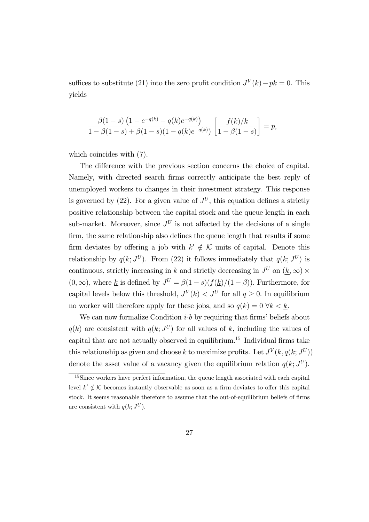suffices to substitute (21) into the zero profit condition  $J<sup>V</sup>(k) - pk = 0$ . This yields

$$
\frac{\beta(1-s)\left(1-e^{-q(k)}-q(k)e^{-q(k)}\right)}{1-\beta(1-s)+\beta(1-s)(1-q(k)e^{-q(k)})}\left[\frac{f(k)/k}{1-\beta(1-s)}\right]=p,
$$

which coincides with (7).

The difference with the previous section concerns the choice of capital. Namely, with directed search firms correctly anticipate the best reply of unemployed workers to changes in their investment strategy. This response is governed by (22). For a given value of  $J^U$ , this equation defines a strictly positive relationship between the capital stock and the queue length in each sub-market. Moreover, since  $J^U$  is not affected by the decisions of a single firm, the same relationship also defines the queue length that results if some firm deviates by offering a job with  $k' \notin \mathcal{K}$  units of capital. Denote this relationship by  $q(k; J^U)$ . From (22) it follows immediately that  $q(k; J^U)$  is continuous, strictly increasing in k and strictly decreasing in  $J^U$  on  $(\underline{k}, \infty)$  $(0, \infty)$ , where <u>k</u> is defined by  $J^U = \beta(1-s)(f(\underline{k})/(1-\beta))$ . Furthermore, for capital levels below this threshold,  $J^V(k) < J^U$  for all  $q \ge 0$ . In equilibrium no worker will therefore apply for these jobs, and so  $q(k)=0 \forall k < \underline{k}$ .

We can now formalize Condition  $i-b$  by requiring that firms' beliefs about  $q(k)$  are consistent with  $q(k; J^U)$  for all values of k, including the values of capital that are not actually observed in equilibrium.15 Individual firms take this relationship as given and choose k to maximize profits. Let  $J^V(k, q(k; J^U))$ denote the asset value of a vacancy given the equilibrium relation  $q(k; J^U)$ .

 $15$ Since workers have perfect information, the queue length associated with each capital level  $k' \notin \mathcal{K}$  becomes instantly observable as soon as a firm deviates to offer this capital stock. It seems reasonable therefore to assume that the out-of-equilibrium beliefs of firms are consistent with  $q(k; J^U)$ .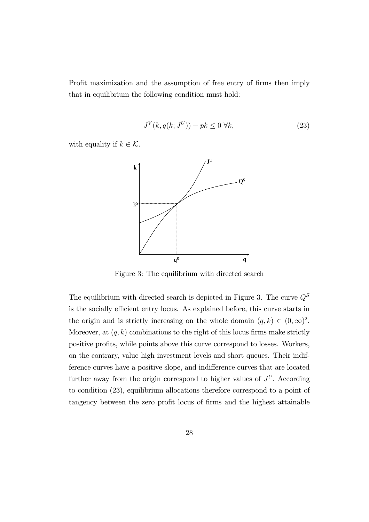Profit maximization and the assumption of free entry of firms then imply that in equilibrium the following condition must hold:

$$
J^V(k, q(k; J^U)) - pk \le 0 \ \forall k,
$$
\n<sup>(23)</sup>

with equality if  $k \in \mathcal{K}$ .



Figure 3: The equilibrium with directed search

The equilibrium with directed search is depicted in Figure 3. The curve  ${\cal Q}^S$ is the socially efficient entry locus. As explained before, this curve starts in the origin and is strictly increasing on the whole domain  $(q, k) \in (0, \infty)^2$ . Moreover, at  $(q, k)$  combinations to the right of this locus firms make strictly positive profits, while points above this curve correspond to losses. Workers, on the contrary, value high investment levels and short queues. Their indifference curves have a positive slope, and indifference curves that are located further away from the origin correspond to higher values of  $J^U$ . According to condition (23), equilibrium allocations therefore correspond to a point of tangency between the zero profit locus of firms and the highest attainable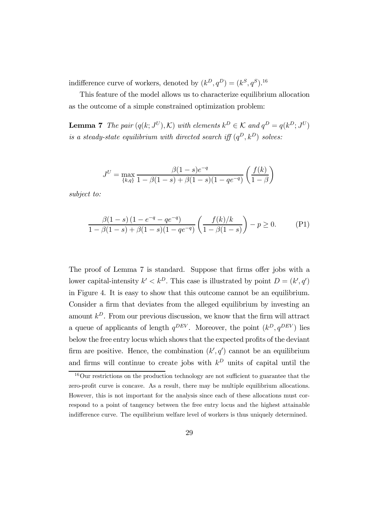indifference curve of workers, denoted by  $(k^D, q^D) = (k^S, q^S).$ <sup>16</sup>

This feature of the model allows us to characterize equilibrium allocation as the outcome of a simple constrained optimization problem:

**Lemma 7** The pair  $(q(k; J^U), \mathcal{K})$  with elements  $k^D \in \mathcal{K}$  and  $q^D = q(k^D; J^U)$ is a steady-state equilibrium with directed search iff  $(q^D, k^D)$  solves:

$$
J^{U} = \max_{\{k,q\}} \frac{\beta(1-s)e^{-q}}{1 - \beta(1-s) + \beta(1-s)(1-qe^{-q})} \left(\frac{f(k)}{1-\beta}\right)
$$

subject to:

$$
\frac{\beta(1-s)\left(1-e^{-q}-qe^{-q}\right)}{1-\beta(1-s)+\beta(1-s)(1-qe^{-q})}\left(\frac{f(k)/k}{1-\beta(1-s)}\right)-p\geq 0.
$$
 (P1)

The proof of Lemma 7 is standard. Suppose that firms offer jobs with a lower capital-intensity  $k' < k^D$ . This case is illustrated by point  $D = (k', q')$ in Figure 4. It is easy to show that this outcome cannot be an equilibrium. Consider a firm that deviates from the alleged equilibrium by investing an amount  $k^D$ . From our previous discussion, we know that the firm will attract a queue of applicants of length  $q^{DEV}$ . Moreover, the point  $(k^D, q^{DEV})$  lies below the free entry locus which shows that the expected profits of the deviant firm are positive. Hence, the combination  $(k', q')$  cannot be an equilibrium and firms will continue to create jobs with  $k^D$  units of capital until the

<sup>&</sup>lt;sup>16</sup>Our restrictions on the production technology are not sufficient to guarantee that the zero-profit curve is concave. As a result, there may be multiple equilibrium allocations. However, this is not important for the analysis since each of these allocations must correspond to a point of tangency between the free entry locus and the highest attainable indifference curve. The equilibrium welfare level of workers is thus uniquely determined.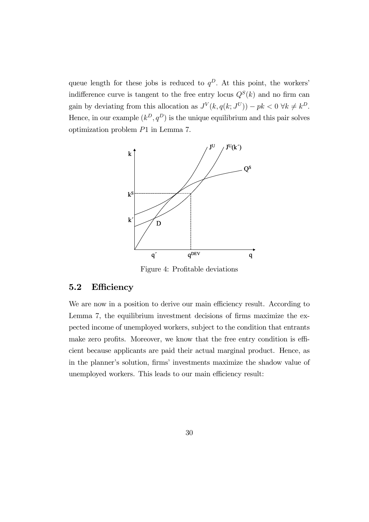queue length for these jobs is reduced to  $q^D$ . At this point, the workers' indifference curve is tangent to the free entry locus  $Q^{S}(k)$  and no firm can gain by deviating from this allocation as  $J^V(k, q(k; J^U)) - pk < 0 \ \forall k \neq k^D$ . Hence, in our example  $(k^D, q^D)$  is the unique equilibrium and this pair solves optimization problem P1 in Lemma 7.



Figure 4: Profitable deviations

## 5.2 Efficiency

We are now in a position to derive our main efficiency result. According to Lemma 7, the equilibrium investment decisions of firms maximize the expected income of unemployed workers, subject to the condition that entrants make zero profits. Moreover, we know that the free entry condition is efficient because applicants are paid their actual marginal product. Hence, as in the planner's solution, firms' investments maximize the shadow value of unemployed workers. This leads to our main efficiency result: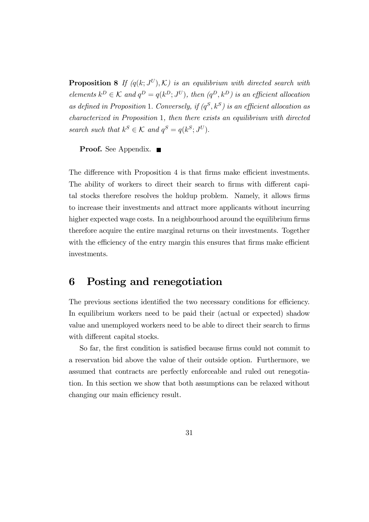**Proposition 8** If  $(q(k; J^U), \mathcal{K})$  is an equilibrium with directed search with elements  $k^D \in \mathcal{K}$  and  $q^D = q(k^D; J^U)$ , then  $(q^D, k^D)$  is an efficient allocation as defined in Proposition 1. Conversely, if  $(q^S, k^S)$  is an efficient allocation as characterized in Proposition 1, then there exists an equilibrium with directed search such that  $k^S \in \mathcal{K}$  and  $q^S = q(k^S; J^U)$ .

**Proof.** See Appendix. ■

The difference with Proposition 4 is that firms make efficient investments. The ability of workers to direct their search to firms with different capital stocks therefore resolves the holdup problem. Namely, it allows firms to increase their investments and attract more applicants without incurring higher expected wage costs. In a neighbourhood around the equilibrium firms therefore acquire the entire marginal returns on their investments. Together with the efficiency of the entry margin this ensures that firms make efficient investments.

## 6 Posting and renegotiation

The previous sections identified the two necessary conditions for efficiency. In equilibrium workers need to be paid their (actual or expected) shadow value and unemployed workers need to be able to direct their search to firms with different capital stocks.

So far, the first condition is satisfied because firms could not commit to a reservation bid above the value of their outside option. Furthermore, we assumed that contracts are perfectly enforceable and ruled out renegotiation. In this section we show that both assumptions can be relaxed without changing our main efficiency result.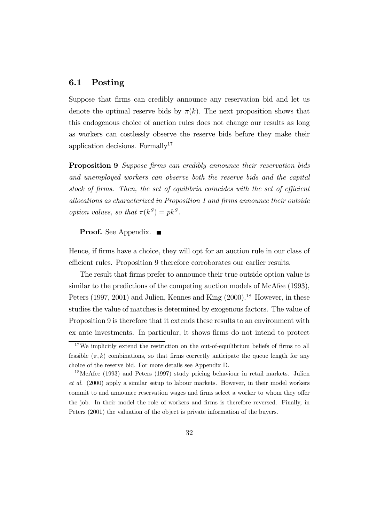## 6.1 Posting

Suppose that firms can credibly announce any reservation bid and let us denote the optimal reserve bids by  $\pi(k)$ . The next proposition shows that this endogenous choice of auction rules does not change our results as long as workers can costlessly observe the reserve bids before they make their application decisions. Formally<sup>17</sup>

Proposition 9 Suppose firms can credibly announce their reservation bids and unemployed workers can observe both the reserve bids and the capital stock of firms. Then, the set of equilibria coincides with the set of efficient allocations as characterized in Proposition 1 and firms announce their outside option values, so that  $\pi(k^S) = pk^S$ .

#### **Proof.** See Appendix. ■

Hence, if firms have a choice, they will opt for an auction rule in our class of efficient rules. Proposition 9 therefore corroborates our earlier results.

The result that firms prefer to announce their true outside option value is similar to the predictions of the competing auction models of McAfee (1993), Peters (1997, 2001) and Julien, Kennes and King  $(2000).<sup>18</sup>$  However, in these studies the value of matches is determined by exogenous factors. The value of Proposition 9 is therefore that it extends these results to an environment with ex ante investments. In particular, it shows firms do not intend to protect

<sup>&</sup>lt;sup>17</sup>We implicitly extend the restriction on the out-of-equilibrium beliefs of firms to all feasible  $(\pi, k)$  combinations, so that firms correctly anticipate the queue length for any choice of the reserve bid. For more details see Appendix D.

<sup>&</sup>lt;sup>18</sup>McAfee (1993) and Peters (1997) study pricing behaviour in retail markets. Julien et al. (2000) apply a similar setup to labour markets. However, in their model workers commit to and announce reservation wages and firms select a worker to whom they offer the job. In their model the role of workers and firms is therefore reversed. Finally, in Peters (2001) the valuation of the object is private information of the buyers.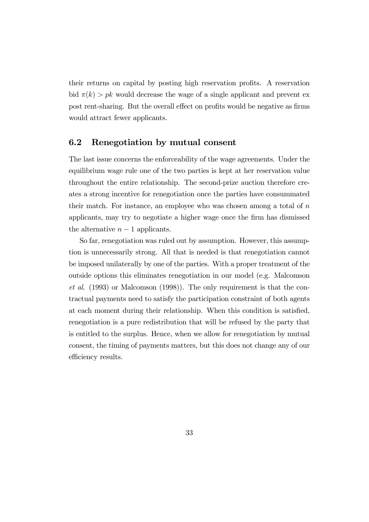their returns on capital by posting high reservation profits. A reservation bid  $\pi(k) > pk$  would decrease the wage of a single applicant and prevent ex post rent-sharing. But the overall effect on profits would be negative as firms would attract fewer applicants.

## 6.2 Renegotiation by mutual consent

The last issue concerns the enforceability of the wage agreements. Under the equilibrium wage rule one of the two parties is kept at her reservation value throughout the entire relationship. The second-prize auction therefore creates a strong incentive for renegotiation once the parties have consummated their match. For instance, an employee who was chosen among a total of  $n$ applicants, may try to negotiate a higher wage once the firm has dismissed the alternative  $n-1$  applicants.

So far, renegotiation was ruled out by assumption. However, this assumption is unnecessarily strong. All that is needed is that renegotiation cannot be imposed unilaterally by one of the parties. With a proper treatment of the outside options this eliminates renegotiation in our model (e.g. Malcomson et al. (1993) or Malcomson (1998)). The only requirement is that the contractual payments need to satisfy the participation constraint of both agents at each moment during their relationship. When this condition is satisfied, renegotiation is a pure redistribution that will be refused by the party that is entitled to the surplus. Hence, when we allow for renegotiation by mutual consent, the timing of payments matters, but this does not change any of our efficiency results.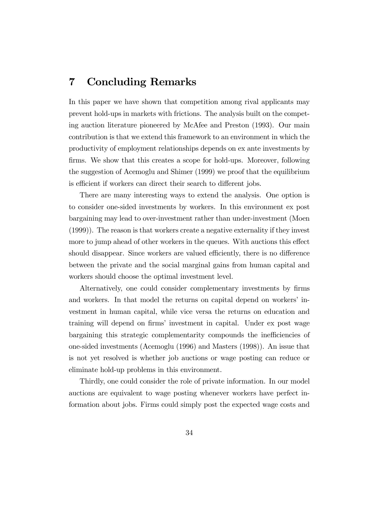## 7 Concluding Remarks

In this paper we have shown that competition among rival applicants may prevent hold-ups in markets with frictions. The analysis built on the competing auction literature pioneered by McAfee and Preston (1993). Our main contribution is that we extend this framework to an environment in which the productivity of employment relationships depends on ex ante investments by firms. We show that this creates a scope for hold-ups. Moreover, following the suggestion of Acemoglu and Shimer (1999) we proof that the equilibrium is efficient if workers can direct their search to different jobs.

There are many interesting ways to extend the analysis. One option is to consider one-sided investments by workers. In this environment ex post bargaining may lead to over-investment rather than under-investment (Moen (1999)). The reason is that workers create a negative externality if they invest more to jump ahead of other workers in the queues. With auctions this effect should disappear. Since workers are valued efficiently, there is no difference between the private and the social marginal gains from human capital and workers should choose the optimal investment level.

Alternatively, one could consider complementary investments by firms and workers. In that model the returns on capital depend on workers' investment in human capital, while vice versa the returns on education and training will depend on firms' investment in capital. Under ex post wage bargaining this strategic complementarity compounds the inefficiencies of one-sided investments (Acemoglu (1996) and Masters (1998)). An issue that is not yet resolved is whether job auctions or wage posting can reduce or eliminate hold-up problems in this environment.

Thirdly, one could consider the role of private information. In our model auctions are equivalent to wage posting whenever workers have perfect information about jobs. Firms could simply post the expected wage costs and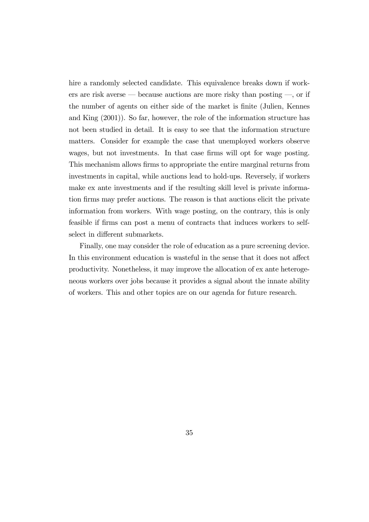hire a randomly selected candidate. This equivalence breaks down if workers are risk averse – because auctions are more risky than posting –, or if the number of agents on either side of the market is finite (Julien, Kennes and King (2001)). So far, however, the role of the information structure has not been studied in detail. It is easy to see that the information structure matters. Consider for example the case that unemployed workers observe wages, but not investments. In that case firms will opt for wage posting. This mechanism allows firms to appropriate the entire marginal returns from investments in capital, while auctions lead to hold-ups. Reversely, if workers make ex ante investments and if the resulting skill level is private information firms may prefer auctions. The reason is that auctions elicit the private information from workers. With wage posting, on the contrary, this is only feasible if firms can post a menu of contracts that induces workers to selfselect in different submarkets.

Finally, one may consider the role of education as a pure screening device. In this environment education is wasteful in the sense that it does not affect productivity. Nonetheless, it may improve the allocation of ex ante heterogeneous workers over jobs because it provides a signal about the innate ability of workers. This and other topics are on our agenda for future research.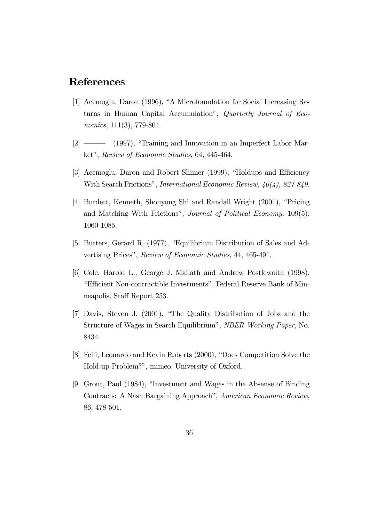## References

- [1] Acemoglu, Daron (1996), "A Microfoundation for Social Increasing Returns in Human Capital Accumulation", Quarterly Journal of Economics, 111(3), 779-804.
- [2] ––– (1997), "Training and Innovation in an Imperfect Labor Market", Review of Economic Studies, 64, 445-464.
- [3] Acemoglu, Daron and Robert Shimer (1999), "Holdups and Efficiency With Search Frictions", International Economic Review, 40(4), 827-849.
- [4] Burdett, Kenneth, Shouyong Shi and Randall Wright (2001), "Pricing and Matching With Frictions", Journal of Political Economy, 109(5), 1060-1085.
- [5] Butters, Gerard R. (1977), "Equilibrium Distribution of Sales and Advertising Prices", Review of Economic Studies, 44, 465-491.
- [6] Cole, Harold L., George J. Mailath and Andrew Postlewaith (1998), "Efficient Non-contractible Investments", Federal Reserve Bank of Minneapolis, Staff Report 253.
- [7] Davis, Steven J. (2001), "The Quality Distribution of Jobs and the Structure of Wages in Search Equilibrium", NBER Working Paper, No. 8434.
- [8] Felli, Leonardo and Kevin Roberts (2000), "Does Competition Solve the Hold-up Problem?", mimeo, University of Oxford.
- [9] Grout, Paul (1984), "Investment and Wages in the Absense of Binding Contracts: A Nash Bargaining Approach", American Economic Review, 86, 478-501.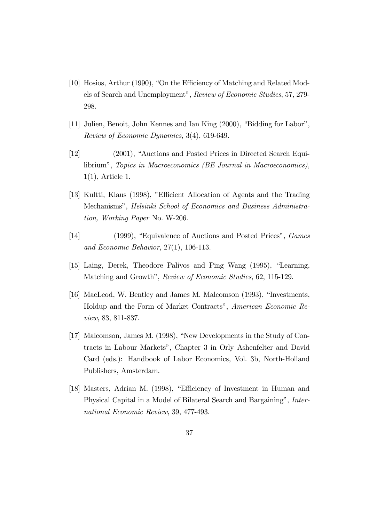- [10] Hosios, Arthur (1990), "On the Efficiency of Matching and Related Models of Search and Unemployment", Review of Economic Studies, 57, 279- 298.
- [11] Julien, Benoit, John Kennes and Ian King (2000), "Bidding for Labor", Review of Economic Dynamics, 3(4), 619-649.
- [12] ———— (2001), "Auctions and Posted Prices in Directed Search Equilibrium", Topics in Macroeconomics (BE Journal in Macroeconomics), 1(1), Article 1.
- [13] Kultti, Klaus (1998), "Efficient Allocation of Agents and the Trading Mechanisms", Helsinki School of Economics and Business Administration, Working Paper No. W-206.
- [14] ———— (1999), "Equivalence of Auctions and Posted Prices", *Games* and Economic Behavior, 27(1), 106-113.
- [15] Laing, Derek, Theodore Palivos and Ping Wang (1995), "Learning, Matching and Growth", Review of Economic Studies, 62, 115-129.
- [16] MacLeod, W. Bentley and James M. Malcomson (1993), "Investments, Holdup and the Form of Market Contracts", American Economic Review, 83, 811-837.
- [17] Malcomson, James M. (1998), "New Developments in the Study of Contracts in Labour Markets", Chapter 3 in Orly Ashenfelter and David Card (eds.): Handbook of Labor Economics, Vol. 3b, North-Holland Publishers, Amsterdam.
- [18] Masters, Adrian M. (1998), "Efficiency of Investment in Human and Physical Capital in a Model of Bilateral Search and Bargaining", International Economic Review, 39, 477-493.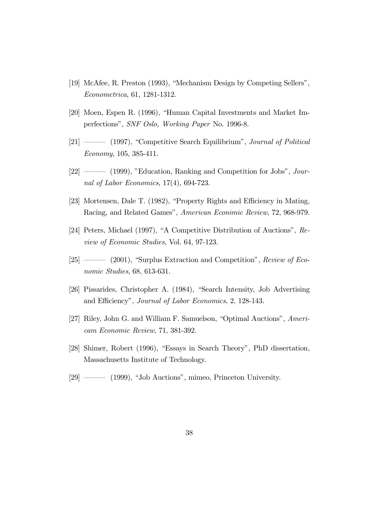- [19] McAfee, R. Preston (1993), "Mechanism Design by Competing Sellers", Econometrica, 61, 1281-1312.
- [20] Moen, Espen R. (1996), "Human Capital Investments and Market Imperfections", SNF Oslo, Working Paper No. 1996-8.
- [21] ——— (1997), "Competitive Search Equilibrium", Journal of Political Economy, 105, 385-411.
- [22] ––– (1999), "Education, Ranking and Competition for Jobs", Journal of Labor Economics, 17(4), 694-723.
- [23] Mortensen, Dale T. (1982), "Property Rights and Efficiency in Mating, Racing, and Related Games", American Econimic Review, 72, 968-979.
- [24] Peters, Michael (1997), "A Competitive Distribution of Auctions", Review of Economic Studies, Vol. 64, 97-123.
- [25] —— (2001), "Surplus Extraction and Competition", Review of Economic Studies, 68, 613-631.
- [26] Pissarides, Christopher A. (1984), "Search Intensity, Job Advertising and Efficiency", Journal of Labor Economics, 2, 128-143.
- [27] Riley, John G. and William F. Samuelson, "Optimal Auctions", Americam Economic Review, 71, 381-392.
- [28] Shimer, Robert (1996), "Essays in Search Theory", PhD dissertation, Massachusetts Institute of Technology.
- [29] ––– (1999), "Job Auctions", mimeo, Princeton University.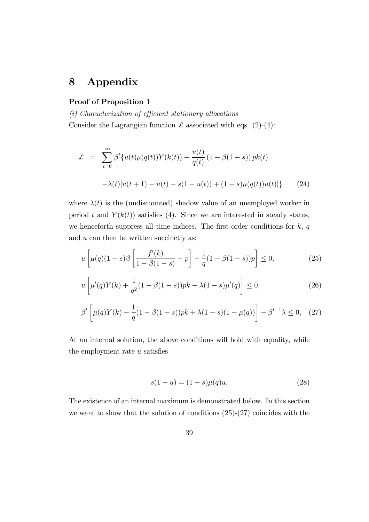## 8 Appendix

#### Proof of Proposition 1

(i) Characterization of efficient stationary allocations Consider the Lagrangian function  $\mathcal L$  associated with eqs. (2)-(4):

$$
\mathcal{L} = \sum_{t=0}^{\infty} \beta^t \{ u(t) \mu(q(t)) Y(k(t)) - \frac{u(t)}{q(t)} (1 - \beta(1 - s)) p k(t) - \lambda(t) [u(t+1) - u(t) - s(1 - u(t)) + (1 - s) \mu(q(t)) u(t)] \}
$$
(24)

where  $\lambda(t)$  is the (undiscounted) shadow value of an unemployed worker in period t and  $Y(k(t))$  satisfies (4). Since we are interested in steady states, we henceforth suppress all time indices. The first-order conditions for  $k, q$ and  $u$  can then be written succinctly as:

$$
u\left[\mu(q)(1-s)\beta\left[\frac{f'(k)}{1-\beta(1-s)} - p\right] - \frac{1}{q}(1-\beta(1-s))p\right] \le 0,
$$
\n(25)

$$
u\left[\mu'(q)Y(k) + \frac{1}{q^2}(1-\beta(1-s))pk - \lambda(1-s)\mu'(q)\right] \le 0,
$$
\n(26)

$$
\beta^{t} \left[ \mu(q) Y(k) - \frac{1}{q} (1 - \beta(1 - s))pk + \lambda(1 - s)(1 - \mu(q)) \right] - \beta^{t-1} \lambda \leq 0, \quad (27)
$$

At an internal solution, the above conditions will hold with equality, while the employment rate  $u$  satisfies

$$
s(1-u) = (1-s)\mu(q)u.
$$
 (28)

The existence of an internal maximum is demonstrated below. In this section we want to show that the solution of conditions (25)-(27) coincides with the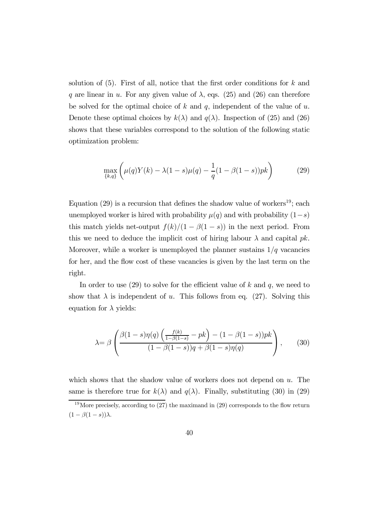solution of  $(5)$ . First of all, notice that the first order conditions for k and q are linear in u. For any given value of  $\lambda$ , eqs. (25) and (26) can therefore be solved for the optimal choice of k and q, independent of the value of  $u$ . Denote these optimal choices by  $k(\lambda)$  and  $q(\lambda)$ . Inspection of (25) and (26) shows that these variables correspond to the solution of the following static optimization problem:

$$
\max_{\{k,q\}} \left( \mu(q)Y(k) - \lambda(1-s)\mu(q) - \frac{1}{q}(1-\beta(1-s))pk \right) \tag{29}
$$

Equation (29) is a recursion that defines the shadow value of workers<sup>19</sup>; each unemployed worker is hired with probability  $\mu(q)$  and with probability  $(1-s)$ this match yields net-output  $f(k)/(1 - \beta(1 - s))$  in the next period. From this we need to deduce the implicit cost of hiring labour  $\lambda$  and capital pk. Moreover, while a worker is unemployed the planner sustains  $1/q$  vacancies for her, and the flow cost of these vacancies is given by the last term on the right.

In order to use  $(29)$  to solve for the efficient value of k and q, we need to show that  $\lambda$  is independent of u. This follows from eq. (27). Solving this equation for  $\lambda$  yields:

$$
\lambda = \beta \left( \frac{\beta(1-s)\eta(q) \left( \frac{f(k)}{1-\beta(1-s)} - pk \right) - (1-\beta(1-s))pk}{(1-\beta(1-s))q + \beta(1-s)\eta(q)} \right), \quad (30)
$$

which shows that the shadow value of workers does not depend on  $u$ . The same is therefore true for  $k(\lambda)$  and  $q(\lambda)$ . Finally, substituting (30) in (29)

<sup>&</sup>lt;sup>19</sup>More precisely, according to  $(27)$  the maximand in  $(29)$  corresponds to the flow return  $(1 - \beta(1 - s))\lambda$ .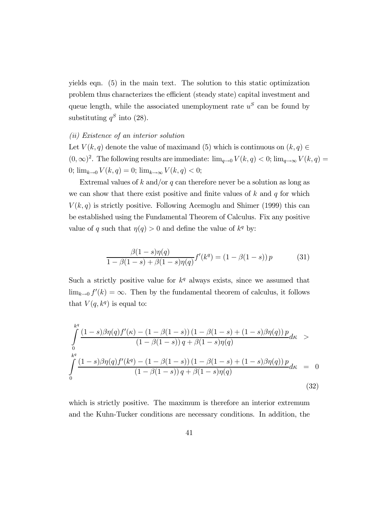yields eqn. (5) in the main text. The solution to this static optimization problem thus characterizes the efficient (steady state) capital investment and queue length, while the associated unemployment rate  $u^S$  can be found by substituting  $q^S$  into (28).

#### (ii) Existence of an interior solution

Let  $V(k, q)$  denote the value of maximand (5) which is continuous on  $(k, q) \in$  $(0, \infty)^2$ . The following results are immediate:  $\lim_{q\to 0} V(k,q) < 0$ ;  $\lim_{q\to\infty} V(k,q) =$ 0;  $\lim_{k\to 0} V(k,q) = 0$ ;  $\lim_{k\to\infty} V(k,q) < 0$ ;

Extremal values of k and/or q can therefore never be a solution as long as we can show that there exist positive and finite values of  $k$  and  $q$  for which  $V(k, q)$  is strictly positive. Following Acemoglu and Shimer (1999) this can be established using the Fundamental Theorem of Calculus. Fix any positive value of q such that  $\eta(q) > 0$  and define the value of  $k^q$  by:

$$
\frac{\beta(1-s)\eta(q)}{1-\beta(1-s)+\beta(1-s)\eta(q)}f'(k^q) = (1-\beta(1-s))p
$$
 (31)

Such a strictly positive value for  $k<sup>q</sup>$  always exists, since we assumed that  $\lim_{k\to 0} f'(k) = \infty$ . Then by the fundamental theorem of calculus, it follows that  $V(q, k^q)$  is equal to:

$$
\int_{0}^{k^{q}} \frac{(1-s)\beta\eta(q)f'(\kappa) - (1-\beta(1-s)) (1-\beta(1-s) + (1-s)\beta\eta(q)) p}{(1-\beta(1-s)) q + \beta(1-s)\eta(q)} d\kappa >
$$
\n
$$
\int_{0}^{k^{q}} \frac{(1-s)\beta\eta(q)f'(k^{q}) - (1-\beta(1-s)) (1-\beta(1-s) + (1-s)\beta\eta(q)) p}{(1-\beta(1-s)) q + \beta(1-s)\eta(q)} d\kappa = 0
$$
\n(32)

which is strictly positive. The maximum is therefore an interior extremum and the Kuhn-Tucker conditions are necessary conditions. In addition, the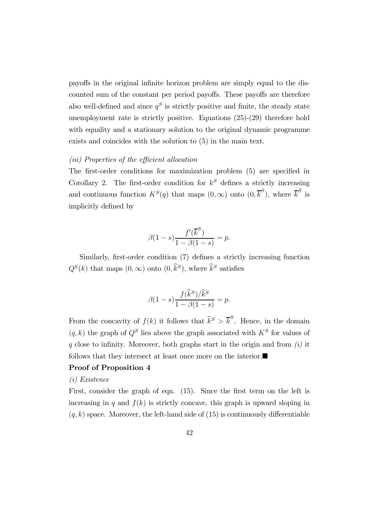payoffs in the original infinite horizon problem are simply equal to the discounted sum of the constant per period payoffs. These payoffs are therefore also well-defined and since  $q^S$  is strictly positive and finite, the steady state unemployment rate is strictly positive. Equations (25)-(29) therefore hold with equality and a stationary solution to the original dynamic programme exists and coincides with the solution to (5) in the main text.

#### (iii) Properties of the efficient allocation

The first-order conditions for maximization problem (5) are specified in Corollary 2. The first-order condition for  $k^S$  defines a strictly increasing and continuous function  $K^S(q)$  that maps  $(0, \infty)$  onto  $(0, \overline{k}^S)$ , where  $\overline{k}^S$  is implicitly defined by

$$
\beta(1-s)\frac{f'(\overline{k}^{S})}{1-\beta(1-s)} = p.
$$

Similarly, first-order condition (7) defines a strictly increasing function  $Q^{S}(k)$  that maps  $(0,\infty)$  onto  $(0,\widehat{k}^{S})$ , where  $\widehat{k}^{S}$  satisfies

$$
\beta(1-s)\frac{f(\widehat{k}^S)/\widehat{k}^S}{1-\beta(1-s)} = p.
$$

From the concavity of  $f(k)$  it follows that  $\widehat{k}^S > \overline{k}^S$ . Hence, in the domain  $(q, k)$  the graph of  $Q<sup>S</sup>$  lies above the graph associated with  $K<sup>S</sup>$  for values of q close to infinity. Moreover, both graphs start in the origin and from  $(i)$  it follows that they intersect at least once more on the interior. $\blacksquare$ 

#### Proof of Proposition 4

#### (i) Existence

First, consider the graph of eqn. (15). Since the first term on the left is increasing in q and  $f(k)$  is strictly concave, this graph is upward sloping in  $(q, k)$  space. Moreover, the left-hand side of  $(15)$  is continuously differentiable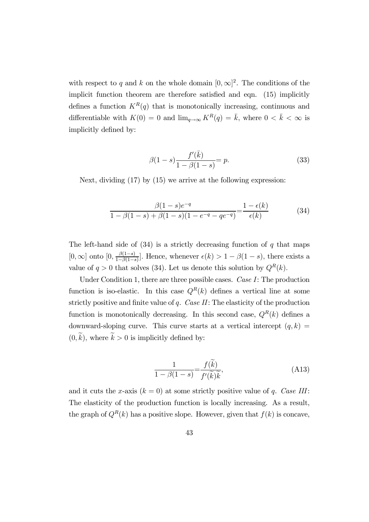with respect to q and k on the whole domain  $[0, \infty]^2$ . The conditions of the implicit function theorem are therefore satisfied and eqn. (15) implicitly defines a function  $K^R(q)$  that is monotonically increasing, continuous and differentiable with  $K(0) = 0$  and  $\lim_{q \to \infty} K^R(q) = \bar{k}$ , where  $0 < \bar{k} < \infty$  is implicitly defined by:

$$
\beta(1-s)\frac{f'(\bar{k})}{1-\beta(1-s)} = p.
$$
\n(33)

Next, dividing (17) by (15) we arrive at the following expression:

$$
\frac{\beta(1-s)e^{-q}}{1-\beta(1-s)+\beta(1-s)(1-e^{-q}-qe^{-q})} = \frac{1-\epsilon(k)}{\epsilon(k)}
$$
(34)

The left-hand side of  $(34)$  is a strictly decreasing function of q that maps  $[0, \infty]$  onto  $[0, \frac{\beta(1-s)}{1-\beta(1-s)}]$ . Hence, whenever  $\epsilon(k) > 1 - \beta(1-s)$ , there exists a value of  $q > 0$  that solves (34). Let us denote this solution by  $Q<sup>R</sup>(k)$ .

Under Condition 1, there are three possible cases. Case I: The production function is iso-elastic. In this case  $Q^{R}(k)$  defines a vertical line at some strictly positive and finite value of  $q$ . Case  $II$ : The elasticity of the production function is monotonically decreasing. In this second case,  $Q^{R}(k)$  defines a downward-sloping curve. This curve starts at a vertical intercept  $(q, k)$  =  $(0, \tilde{k})$ , where  $\tilde{k} > 0$  is implicitly defined by:

$$
\frac{1}{1 - \beta(1 - s)} = \frac{f(\tilde{k})}{f'(\tilde{k})\tilde{k}},\tag{A13}
$$

and it cuts the x-axis  $(k = 0)$  at some strictly positive value of q. Case III: The elasticity of the production function is locally increasing. As a result, the graph of  $Q^R(k)$  has a positive slope. However, given that  $f(k)$  is concave,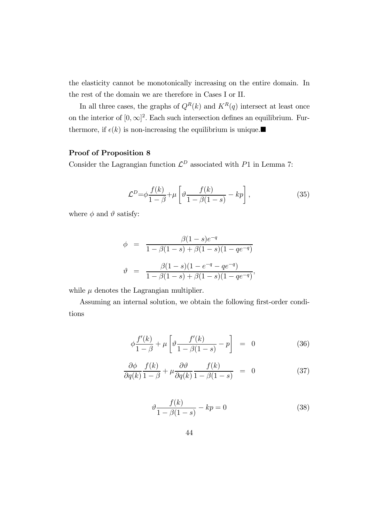the elasticity cannot be monotonically increasing on the entire domain. In the rest of the domain we are therefore in Cases I or II.

In all three cases, the graphs of  $Q^R(k)$  and  $K^R(q)$  intersect at least once on the interior of  $[0, \infty]^2$ . Each such intersection defines an equilibrium. Furthermore, if  $\epsilon(k)$  is non-increasing the equilibrium is unique.

## Proof of Proposition 8

Consider the Lagrangian function  $\mathcal{L}^D$  associated with P1 in Lemma 7:

$$
\mathcal{L}^D = \phi \frac{f(k)}{1 - \beta} + \mu \left[ \vartheta \frac{f(k)}{1 - \beta(1 - s)} - kp \right],\tag{35}
$$

where  $\phi$  and  $\theta$  satisfy:

$$
\phi = \frac{\beta(1-s)e^{-q}}{1-\beta(1-s)+\beta(1-s)(1-qe^{-q})}
$$

$$
\vartheta = \frac{\beta(1-s)(1-e^{-q}-qe^{-q})}{1-\beta(1-s)+\beta(1-s)(1-qe^{-q})},
$$

while  $\mu$  denotes the Lagrangian multiplier.

Assuming an internal solution, we obtain the following first-order conditions

$$
\phi \frac{f'(k)}{1-\beta} + \mu \left[ \vartheta \frac{f'(k)}{1-\beta(1-s)} - p \right] = 0 \tag{36}
$$

$$
\frac{\partial \phi}{\partial q(k)} \frac{f(k)}{1-\beta} + \mu \frac{\partial \vartheta}{\partial q(k)} \frac{f(k)}{1-\beta(1-s)} = 0 \tag{37}
$$

$$
\vartheta \frac{f(k)}{1 - \beta(1 - s)} - kp = 0 \tag{38}
$$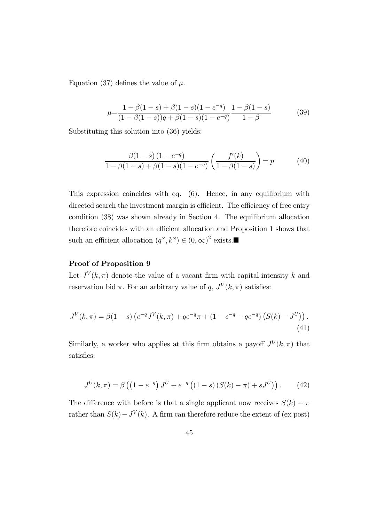Equation (37) defines the value of  $\mu$ .

$$
\mu = \frac{1 - \beta(1 - s) + \beta(1 - s)(1 - e^{-q})}{(1 - \beta(1 - s))q + \beta(1 - s)(1 - e^{-q})} \frac{1 - \beta(1 - s)}{1 - \beta} \tag{39}
$$

Substituting this solution into (36) yields:

$$
\frac{\beta(1-s)(1-e^{-q})}{1-\beta(1-s)+\beta(1-s)(1-e^{-q})}\left(\frac{f'(k)}{1-\beta(1-s)}\right) = p \tag{40}
$$

This expression coincides with eq. (6). Hence, in any equilibrium with directed search the investment margin is efficient. The efficiency of free entry condition (38) was shown already in Section 4. The equilibrium allocation therefore coincides with an efficient allocation and Proposition 1 shows that such an efficient allocation  $(q^S, k^S) \in (0, \infty)^2$  exists.

## Proof of Proposition 9

Let  $J^V(k, \pi)$  denote the value of a vacant firm with capital-intensity k and reservation bid  $\pi$ . For an arbitrary value of q,  $J^V(k, \pi)$  satisfies:

$$
J^{V}(k,\pi) = \beta(1-s)\left(e^{-q}J^{V}(k,\pi) + qe^{-q}\pi + (1 - e^{-q} - qe^{-q})\left(S(k) - J^{U}\right)\right).
$$
\n(41)

Similarly, a worker who applies at this firm obtains a payoff  $J^U(k, \pi)$  that satisfies:

$$
J^{U}(k,\pi) = \beta \left( \left( 1 - e^{-q} \right) J^{U} + e^{-q} \left( \left( 1 - s \right) \left( S(k) - \pi \right) + s J^{U} \right) \right). \tag{42}
$$

The difference with before is that a single applicant now receives  $S(k) - \pi$ rather than  $S(k) - J<sup>V</sup>(k)$ . A firm can therefore reduce the extent of (ex post)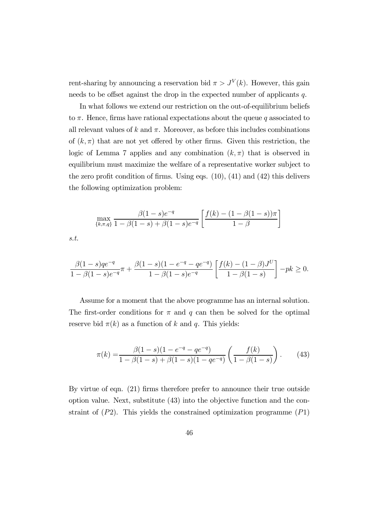rent-sharing by announcing a reservation bid  $\pi > J^V(k)$ . However, this gain needs to be offset against the drop in the expected number of applicants q.

In what follows we extend our restriction on the out-of-equilibrium beliefs to  $\pi$ . Hence, firms have rational expectations about the queue q associated to all relevant values of k and  $\pi$ . Moreover, as before this includes combinations of  $(k, \pi)$  that are not yet offered by other firms. Given this restriction, the logic of Lemma 7 applies and any combination  $(k, \pi)$  that is observed in equilibrium must maximize the welfare of a representative worker subject to the zero profit condition of firms. Using eqs.  $(10)$ ,  $(41)$  and  $(42)$  this delivers the following optimization problem:

$$
\max_{\{k,\pi,q\}} \frac{\beta(1-s)e^{-q}}{1-\beta(1-s)+\beta(1-s)e^{-q}} \left[ \frac{f(k)-(1-\beta(1-s))\pi}{1-\beta} \right]
$$

s.t.

$$
\frac{\beta(1-s)qe^{-q}}{1-\beta(1-s)e^{-q}}\pi + \frac{\beta(1-s)(1-e^{-q}-qe^{-q})}{1-\beta(1-s)e^{-q}}\left[\frac{f(k)-(1-\beta)J^U}{1-\beta(1-s)}\right]-pk \ge 0.
$$

Assume for a moment that the above programme has an internal solution. The first-order conditions for  $\pi$  and q can then be solved for the optimal reserve bid  $\pi(k)$  as a function of k and q. This yields:

$$
\pi(k) = \frac{\beta(1-s)(1-e^{-q}-qe^{-q})}{1-\beta(1-s)+\beta(1-s)(1-qe^{-q})}\left(\frac{f(k)}{1-\beta(1-s)}\right). \tag{43}
$$

By virtue of eqn. (21) firms therefore prefer to announce their true outside option value. Next, substitute (43) into the objective function and the constraint of  $(P2)$ . This yields the constrained optimization programme  $(P1)$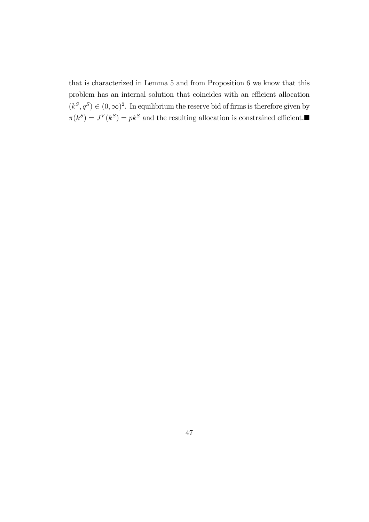that is characterized in Lemma 5 and from Proposition 6 we know that this problem has an internal solution that coincides with an efficient allocation  $(k^S, q^S) \in (0, \infty)^2$ . In equilibrium the reserve bid of firms is therefore given by  $\pi(k^S) = J^V(k^S) = pk^S$  and the resulting allocation is constrained efficient.